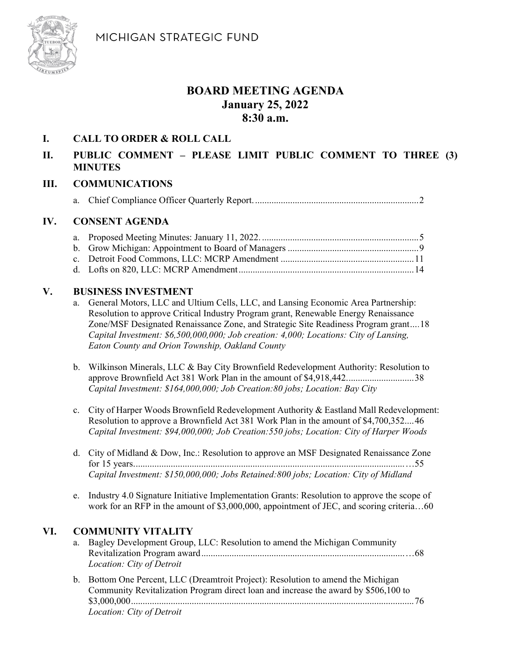MICHIGAN STRATEGIC FUND



# **BOARD MEETING AGENDA January 25, 2022 8:30 a.m.**

### **I. CALL TO ORDER & ROLL CALL**

# **II. PUBLIC COMMENT – PLEASE LIMIT PUBLIC COMMENT TO THREE (3) MINUTES**

#### **III. COMMUNICATIONS**

a. Chief Compliance Officer Quarterly Report. ...................................................................... 2

#### **IV. CONSENT AGENDA**

## **V. BUSINESS INVESTMENT**

- a. General Motors, LLC and Ultium Cells, LLC, and Lansing Economic Area Partnership: Resolution to approve Critical Industry Program grant, Renewable Energy Renaissance Zone/MSF Designated Renaissance Zone, and Strategic Site Readiness Program grant*….*18 *Capital Investment: \$6,500,000,000; Job creation: 4,000; Locations: City of Lansing, Eaton County and Orion Township, Oakland County*
- b. Wilkinson Minerals, LLC & Bay City Brownfield Redevelopment Authority: Resolution to approve Brownfield Act 381 Work Plan in the amount of \$4,918,442. ............................ 38 *Capital Investment: \$164,000,000; Job Creation:80 jobs; Location: Bay City*
- c. City of Harper Woods Brownfield Redevelopment Authority & Eastland Mall Redevelopment: Resolution to approve a Brownfield Act 381 Work Plan in the amount of \$4,700,352. ... 46 *Capital Investment: \$94,000,000; Job Creation:550 jobs; Location: City of Harper Woods*
- d. City of Midland & Dow, Inc.: Resolution to approve an MSF Designated Renaissance Zone for 15 years. ................................................................................................................... …55 *Capital Investment: \$150,000,000; Jobs Retained:800 jobs; Location: City of Midland*
- e. Industry 4.0 Signature Initiative Implementation Grants: Resolution to approve the scope of work for an RFP in the amount of \$3,000,000, appointment of JEC, and scoring criteria...60

## **VI. COMMUNITY VITALITY**

- a. Bagley Development Group, LLC: Resolution to amend the Michigan Community Revitalization Program award ....................................................................................... …68 *Location: City of Detroit*
- b. Bottom One Percent, LLC (Dreamtroit Project): Resolution to amend the Michigan Community Revitalization Program direct loan and increase the award by \$506,100 to \$3,000,000 ......................................................................................................................... 76 *Location: City of Detroit*